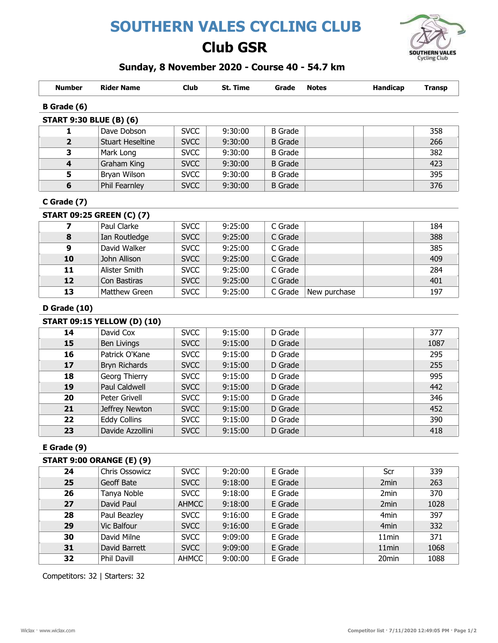# SOUTHERN VALES CYCLING CLUB

## Club GSR



### Sunday, 8 November 2020 - Course 40 - 54.7 km

| <b>Number</b>           | <b>Rider Name</b>                  | <b>Club</b> | St. Time | Grade          | <b>Notes</b> | <b>Handicap</b> | <b>Transp</b> |
|-------------------------|------------------------------------|-------------|----------|----------------|--------------|-----------------|---------------|
| B Grade (6)             |                                    |             |          |                |              |                 |               |
|                         | <b>START 9:30 BLUE (B) (6)</b>     |             |          |                |              |                 |               |
| 1                       | Dave Dobson                        | <b>SVCC</b> | 9:30:00  | <b>B</b> Grade |              |                 | 358           |
| $\overline{2}$          | <b>Stuart Heseltine</b>            | <b>SVCC</b> | 9:30:00  | <b>B</b> Grade |              |                 | 266           |
| 3                       | Mark Long                          | <b>SVCC</b> | 9:30:00  | <b>B</b> Grade |              |                 | 382           |
| $\overline{\mathbf{4}}$ | Graham King                        | <b>SVCC</b> | 9:30:00  | <b>B</b> Grade |              |                 | 423           |
| 5                       | Bryan Wilson                       | <b>SVCC</b> | 9:30:00  | <b>B</b> Grade |              |                 | 395           |
| 6                       | Phil Fearnley                      | <b>SVCC</b> | 9:30:00  | <b>B</b> Grade |              |                 | 376           |
| C Grade (7)             | <b>START 09:25 GREEN (C) (7)</b>   |             |          |                |              |                 |               |
| 7                       | Paul Clarke                        | <b>SVCC</b> | 9:25:00  | C Grade        |              |                 | 184           |
| 8                       | Ian Routledge                      | <b>SVCC</b> | 9:25:00  | C Grade        |              |                 | 388           |
| 9                       | David Walker                       | <b>SVCC</b> | 9:25:00  | C Grade        |              |                 | 385           |
| 10                      | John Allison                       | <b>SVCC</b> | 9:25:00  | C Grade        |              |                 | 409           |
| 11                      | Alister Smith                      | <b>SVCC</b> | 9:25:00  | C Grade        |              |                 | 284           |
| 12                      | Con Bastiras                       | <b>SVCC</b> | 9:25:00  | C Grade        |              |                 | 401           |
| 13                      | Matthew Green                      | <b>SVCC</b> | 9:25:00  | C Grade        | New purchase |                 | 197           |
| <b>D</b> Grade (10)     |                                    |             |          |                |              |                 |               |
|                         | <b>START 09:15 YELLOW (D) (10)</b> |             |          |                |              |                 |               |
| 14                      | David Cox                          | <b>SVCC</b> | 9:15:00  | D Grade        |              |                 | 377           |
| 15                      | <b>Ben Livings</b>                 | <b>SVCC</b> | 9:15:00  | D Grade        |              |                 | 1087          |
| 16                      | Patrick O'Kane                     | <b>SVCC</b> | 9:15:00  | D Grade        |              |                 | 295           |
| 17                      | <b>Bryn Richards</b>               | <b>SVCC</b> | 9:15:00  | D Grade        |              |                 | 255           |

| 17 | Bryn Richards    | <b>SVCC</b> | 9:15:00 | D Grade |  | 255 |
|----|------------------|-------------|---------|---------|--|-----|
| 18 | Georg Thierry    | <b>SVCC</b> | 9:15:00 | D Grade |  | 995 |
| 19 | Paul Caldwell    | <b>SVCC</b> | 9:15:00 | D Grade |  | 442 |
| 20 | Peter Grivell    | <b>SVCC</b> | 9:15:00 | D Grade |  | 346 |
| 21 | Jeffrey Newton   | <b>SVCC</b> | 9:15:00 | D Grade |  | 452 |
| 22 | Eddy Collins     | <b>SVCC</b> | 9:15:00 | D Grade |  | 390 |
| 23 | Davide Azzollini | <b>SVCC</b> | 9:15:00 | D Grade |  | 418 |

#### E Grade (9)

### $\overline{\text{START 9:00 ORANGE (F) (9)}}$

| JIANI JIUU UMANJE (LJ (J) |                |              |         |         |  |                   |      |  |
|---------------------------|----------------|--------------|---------|---------|--|-------------------|------|--|
| 24                        | Chris Ossowicz | <b>SVCC</b>  | 9:20:00 | E Grade |  | Scr               | 339  |  |
| 25                        | Geoff Bate     | <b>SVCC</b>  | 9:18:00 | E Grade |  | 2 <sub>min</sub>  | 263  |  |
| 26                        | Tanya Noble    | <b>SVCC</b>  | 9:18:00 | E Grade |  | 2min              | 370  |  |
| 27                        | David Paul     | <b>AHMCC</b> | 9:18:00 | E Grade |  | 2 <sub>min</sub>  | 1028 |  |
| 28                        | Paul Beazley   | <b>SVCC</b>  | 9:16:00 | E Grade |  | 4 <sub>min</sub>  | 397  |  |
| 29                        | Vic Balfour    | <b>SVCC</b>  | 9:16:00 | E Grade |  | 4 <sub>min</sub>  | 332  |  |
| 30                        | David Milne    | <b>SVCC</b>  | 9:09:00 | E Grade |  | 11 <sub>min</sub> | 371  |  |
| 31                        | David Barrett  | <b>SVCC</b>  | 9:09:00 | E Grade |  | 11 <sub>min</sub> | 1068 |  |
| 32                        | Phil Davill    | <b>AHMCC</b> | 9:00:00 | E Grade |  | 20 <sub>min</sub> | 1088 |  |

Competitors: 32 | Starters: 32